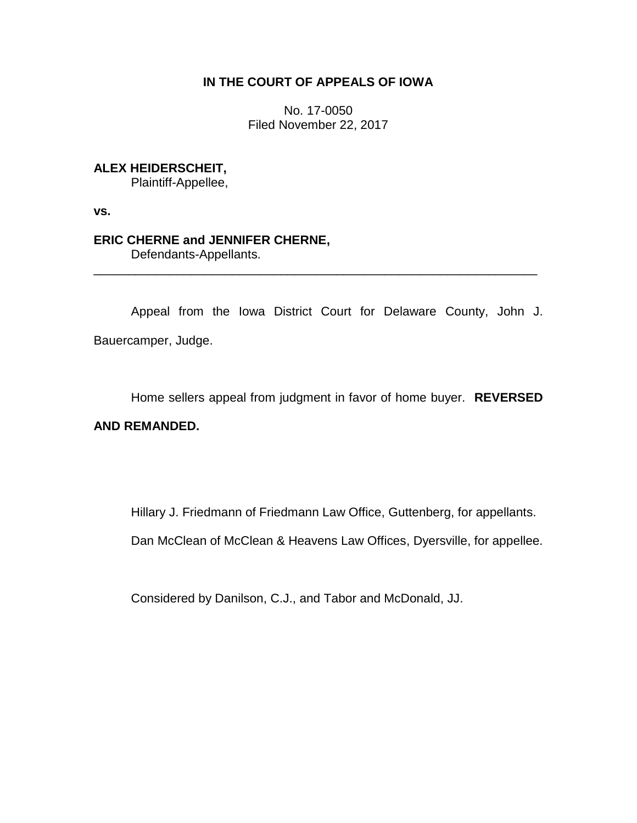# **IN THE COURT OF APPEALS OF IOWA**

No. 17-0050 Filed November 22, 2017

**ALEX HEIDERSCHEIT,**

Plaintiff-Appellee,

**vs.**

# **ERIC CHERNE and JENNIFER CHERNE,**

Defendants-Appellants.

Appeal from the Iowa District Court for Delaware County, John J. Bauercamper, Judge.

\_\_\_\_\_\_\_\_\_\_\_\_\_\_\_\_\_\_\_\_\_\_\_\_\_\_\_\_\_\_\_\_\_\_\_\_\_\_\_\_\_\_\_\_\_\_\_\_\_\_\_\_\_\_\_\_\_\_\_\_\_\_\_\_

Home sellers appeal from judgment in favor of home buyer. **REVERSED** 

## **AND REMANDED.**

Hillary J. Friedmann of Friedmann Law Office, Guttenberg, for appellants.

Dan McClean of McClean & Heavens Law Offices, Dyersville, for appellee.

Considered by Danilson, C.J., and Tabor and McDonald, JJ.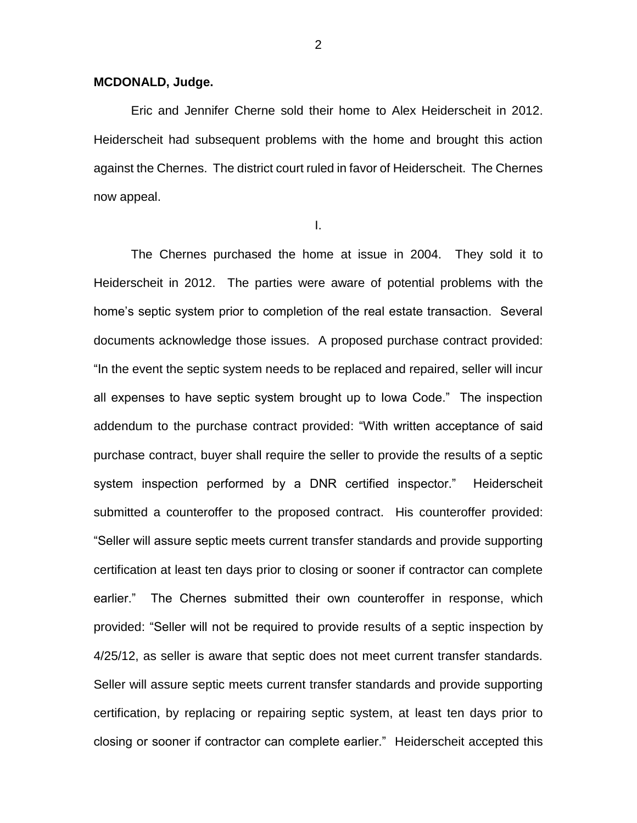### **MCDONALD, Judge.**

Eric and Jennifer Cherne sold their home to Alex Heiderscheit in 2012. Heiderscheit had subsequent problems with the home and brought this action against the Chernes. The district court ruled in favor of Heiderscheit. The Chernes now appeal.

I.

The Chernes purchased the home at issue in 2004. They sold it to Heiderscheit in 2012. The parties were aware of potential problems with the home's septic system prior to completion of the real estate transaction. Several documents acknowledge those issues. A proposed purchase contract provided: "In the event the septic system needs to be replaced and repaired, seller will incur all expenses to have septic system brought up to Iowa Code." The inspection addendum to the purchase contract provided: "With written acceptance of said purchase contract, buyer shall require the seller to provide the results of a septic system inspection performed by a DNR certified inspector." Heiderscheit submitted a counteroffer to the proposed contract. His counteroffer provided: "Seller will assure septic meets current transfer standards and provide supporting certification at least ten days prior to closing or sooner if contractor can complete earlier." The Chernes submitted their own counteroffer in response, which provided: "Seller will not be required to provide results of a septic inspection by 4/25/12, as seller is aware that septic does not meet current transfer standards. Seller will assure septic meets current transfer standards and provide supporting certification, by replacing or repairing septic system, at least ten days prior to closing or sooner if contractor can complete earlier." Heiderscheit accepted this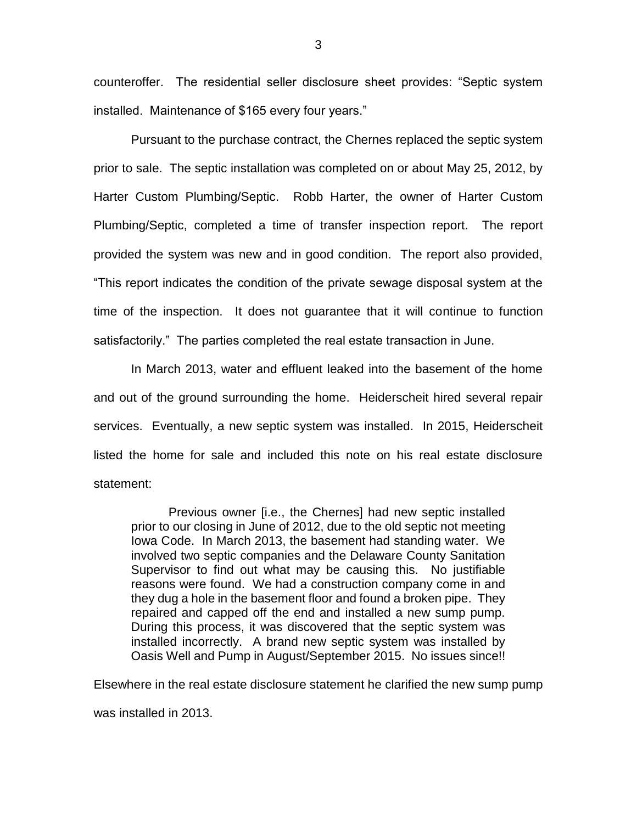counteroffer. The residential seller disclosure sheet provides: "Septic system installed. Maintenance of \$165 every four years."

Pursuant to the purchase contract, the Chernes replaced the septic system prior to sale. The septic installation was completed on or about May 25, 2012, by Harter Custom Plumbing/Septic. Robb Harter, the owner of Harter Custom Plumbing/Septic, completed a time of transfer inspection report. The report provided the system was new and in good condition. The report also provided, "This report indicates the condition of the private sewage disposal system at the time of the inspection. It does not guarantee that it will continue to function satisfactorily." The parties completed the real estate transaction in June.

In March 2013, water and effluent leaked into the basement of the home and out of the ground surrounding the home. Heiderscheit hired several repair services. Eventually, a new septic system was installed. In 2015, Heiderscheit listed the home for sale and included this note on his real estate disclosure statement:

Previous owner [i.e., the Chernes] had new septic installed prior to our closing in June of 2012, due to the old septic not meeting Iowa Code. In March 2013, the basement had standing water. We involved two septic companies and the Delaware County Sanitation Supervisor to find out what may be causing this. No justifiable reasons were found. We had a construction company come in and they dug a hole in the basement floor and found a broken pipe. They repaired and capped off the end and installed a new sump pump. During this process, it was discovered that the septic system was installed incorrectly. A brand new septic system was installed by Oasis Well and Pump in August/September 2015. No issues since!!

Elsewhere in the real estate disclosure statement he clarified the new sump pump

was installed in 2013.

3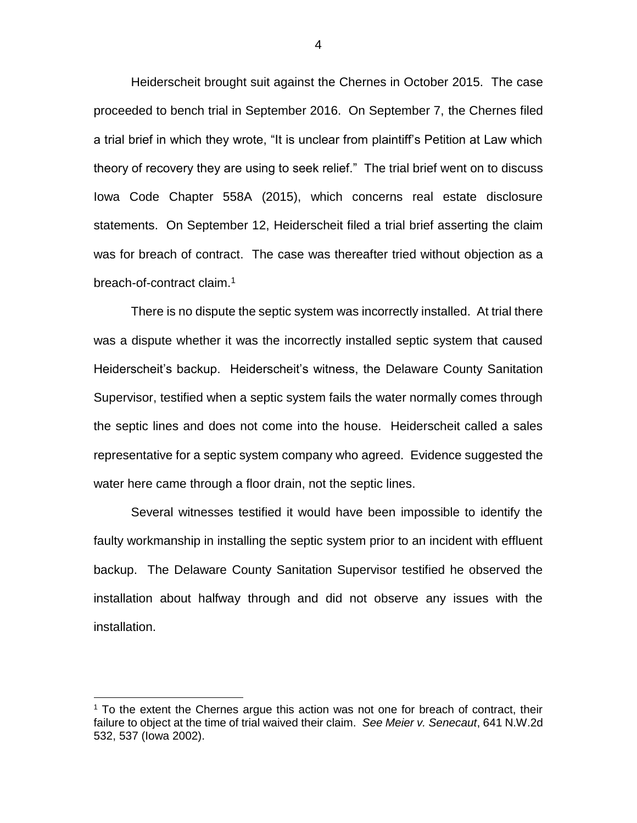Heiderscheit brought suit against the Chernes in October 2015. The case proceeded to bench trial in September 2016. On September 7, the Chernes filed a trial brief in which they wrote, "It is unclear from plaintiff's Petition at Law which theory of recovery they are using to seek relief." The trial brief went on to discuss Iowa Code Chapter 558A (2015), which concerns real estate disclosure statements. On September 12, Heiderscheit filed a trial brief asserting the claim was for breach of contract. The case was thereafter tried without objection as a breach-of-contract claim.<sup>1</sup>

There is no dispute the septic system was incorrectly installed. At trial there was a dispute whether it was the incorrectly installed septic system that caused Heiderscheit's backup. Heiderscheit's witness, the Delaware County Sanitation Supervisor, testified when a septic system fails the water normally comes through the septic lines and does not come into the house. Heiderscheit called a sales representative for a septic system company who agreed. Evidence suggested the water here came through a floor drain, not the septic lines.

Several witnesses testified it would have been impossible to identify the faulty workmanship in installing the septic system prior to an incident with effluent backup. The Delaware County Sanitation Supervisor testified he observed the installation about halfway through and did not observe any issues with the installation.

 $\overline{a}$ 

 $<sup>1</sup>$  To the extent the Chernes argue this action was not one for breach of contract, their</sup> failure to object at the time of trial waived their claim. *See Meier v. Senecaut*, 641 N.W.2d 532, 537 (Iowa 2002).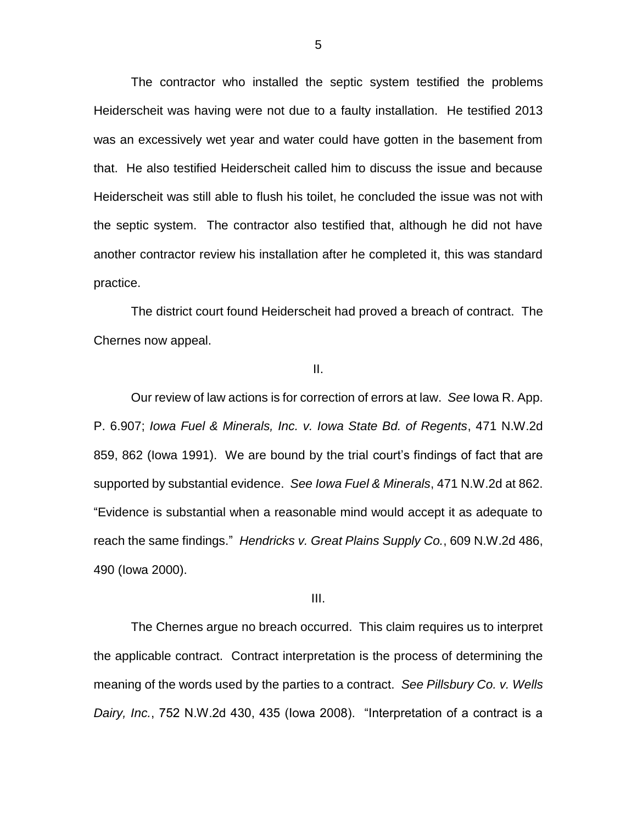The contractor who installed the septic system testified the problems Heiderscheit was having were not due to a faulty installation. He testified 2013 was an excessively wet year and water could have gotten in the basement from that. He also testified Heiderscheit called him to discuss the issue and because Heiderscheit was still able to flush his toilet, he concluded the issue was not with the septic system. The contractor also testified that, although he did not have another contractor review his installation after he completed it, this was standard practice.

The district court found Heiderscheit had proved a breach of contract. The Chernes now appeal.

#### II.

Our review of law actions is for correction of errors at law. *See* Iowa R. App. P. 6.907; *Iowa Fuel & Minerals, Inc. v. Iowa State Bd. of Regents*, 471 N.W.2d 859, 862 (Iowa 1991). We are bound by the trial court's findings of fact that are supported by substantial evidence. *See Iowa Fuel & Minerals*, 471 N.W.2d at 862. "Evidence is substantial when a reasonable mind would accept it as adequate to reach the same findings." *Hendricks v. Great Plains Supply Co.*, 609 N.W.2d 486, 490 (Iowa 2000).

### III.

The Chernes argue no breach occurred. This claim requires us to interpret the applicable contract. Contract interpretation is the process of determining the meaning of the words used by the parties to a contract. *See Pillsbury Co. v. Wells Dairy, Inc.*, 752 N.W.2d 430, 435 (Iowa 2008). "Interpretation of a contract is a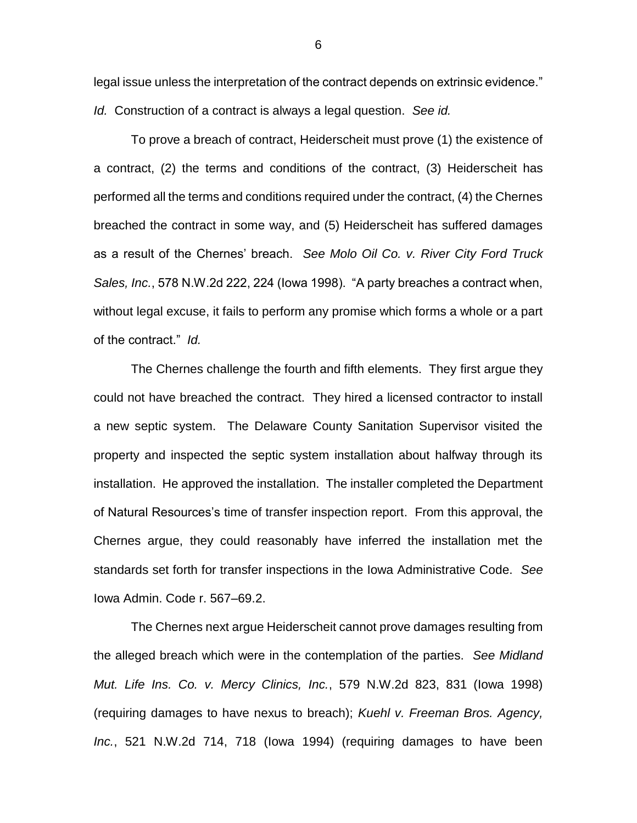legal issue unless the interpretation of the contract depends on extrinsic evidence." *Id.* Construction of a contract is always a legal question. *See id.*

To prove a breach of contract, Heiderscheit must prove (1) the existence of a contract, (2) the terms and conditions of the contract, (3) Heiderscheit has performed all the terms and conditions required under the contract, (4) the Chernes breached the contract in some way, and (5) Heiderscheit has suffered damages as a result of the Chernes' breach. *See Molo Oil Co. v. River City Ford Truck Sales, Inc.*, 578 N.W.2d 222, 224 (Iowa 1998). "A party breaches a contract when, without legal excuse, it fails to perform any promise which forms a whole or a part of the contract." *Id.*

The Chernes challenge the fourth and fifth elements. They first argue they could not have breached the contract. They hired a licensed contractor to install a new septic system. The Delaware County Sanitation Supervisor visited the property and inspected the septic system installation about halfway through its installation. He approved the installation. The installer completed the Department of Natural Resources's time of transfer inspection report. From this approval, the Chernes argue, they could reasonably have inferred the installation met the standards set forth for transfer inspections in the Iowa Administrative Code. *See*  Iowa Admin. Code r. 567–69.2.

The Chernes next argue Heiderscheit cannot prove damages resulting from the alleged breach which were in the contemplation of the parties. *See Midland Mut. Life Ins. Co. v. Mercy Clinics, Inc.*, 579 N.W.2d 823, 831 (Iowa 1998) (requiring damages to have nexus to breach); *Kuehl v. Freeman Bros. Agency, Inc.*, 521 N.W.2d 714, 718 (Iowa 1994) (requiring damages to have been

6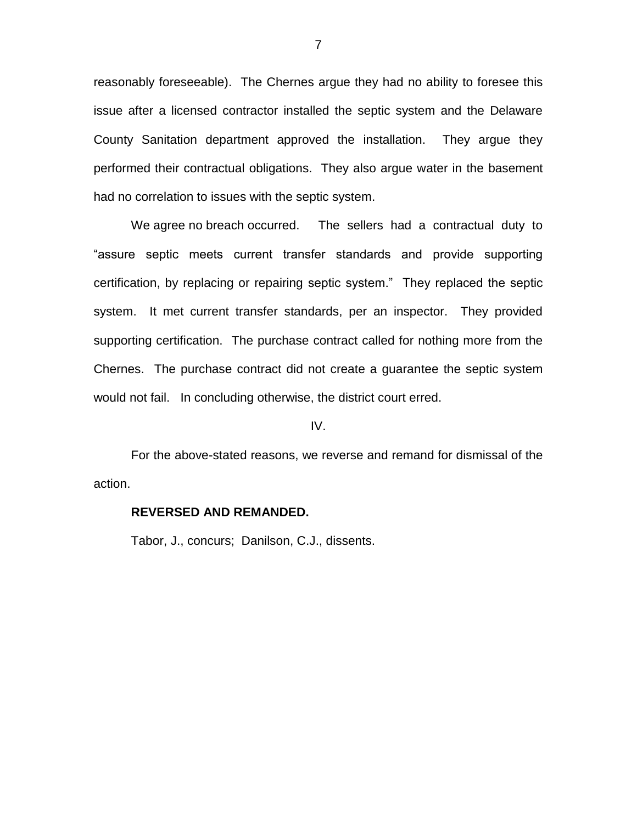reasonably foreseeable). The Chernes argue they had no ability to foresee this issue after a licensed contractor installed the septic system and the Delaware County Sanitation department approved the installation. They argue they performed their contractual obligations. They also argue water in the basement had no correlation to issues with the septic system.

We agree no breach occurred. The sellers had a contractual duty to "assure septic meets current transfer standards and provide supporting certification, by replacing or repairing septic system." They replaced the septic system. It met current transfer standards, per an inspector. They provided supporting certification. The purchase contract called for nothing more from the Chernes. The purchase contract did not create a guarantee the septic system would not fail. In concluding otherwise, the district court erred.

#### IV.

For the above-stated reasons, we reverse and remand for dismissal of the action.

#### **REVERSED AND REMANDED.**

Tabor, J., concurs; Danilson, C.J., dissents.